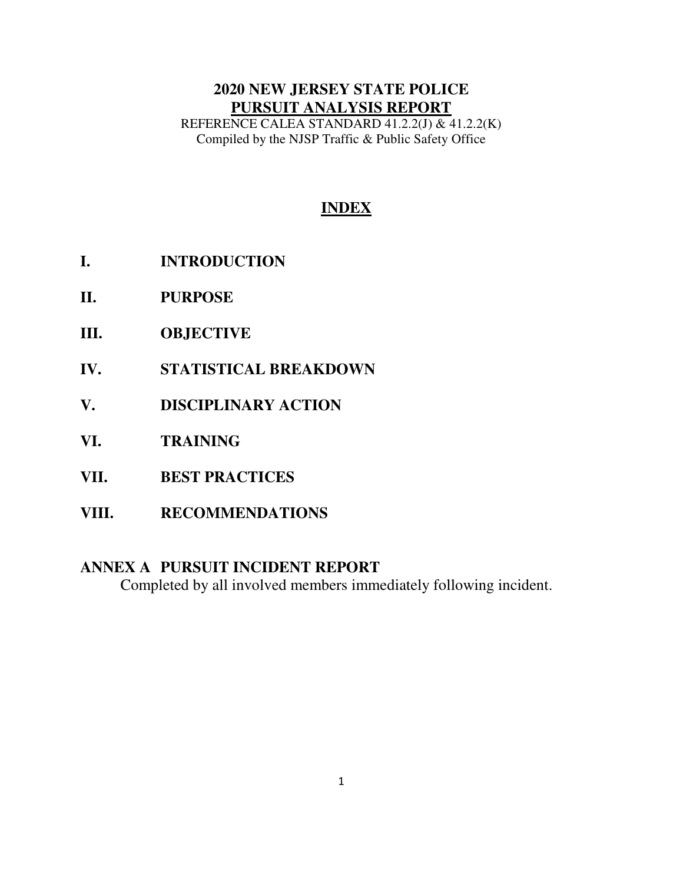# **2020 NEW JERSEY STATE POLICE PURSUIT ANALYSIS REPORT**

REFERENCE CALEA STANDARD 41.2.2(J) & 41.2.2(K) Compiled by the NJSP Traffic & Public Safety Office

# **INDEX**

- **I. INTRODUCTION**
- **II. PURPOSE**
- **III. OBJECTIVE**
- **IV. STATISTICAL BREAKDOWN**
- **V. DISCIPLINARY ACTION**
- **VI. TRAINING**
- **VII. BEST PRACTICES**
- **VIII. RECOMMENDATIONS**

# **ANNEX A PURSUIT INCIDENT REPORT**

Completed by all involved members immediately following incident.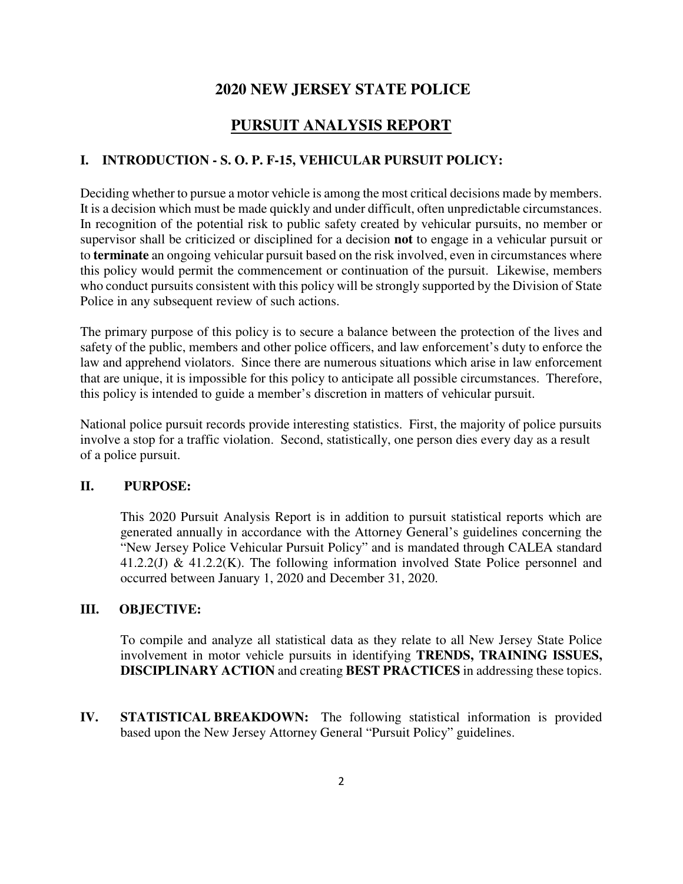## **2020 NEW JERSEY STATE POLICE**

# **PURSUIT ANALYSIS REPORT**

#### **I. INTRODUCTION - S. O. P. F-15, VEHICULAR PURSUIT POLICY:**

Deciding whether to pursue a motor vehicle is among the most critical decisions made by members. It is a decision which must be made quickly and under difficult, often unpredictable circumstances. In recognition of the potential risk to public safety created by vehicular pursuits, no member or supervisor shall be criticized or disciplined for a decision **not** to engage in a vehicular pursuit or to **terminate** an ongoing vehicular pursuit based on the risk involved, even in circumstances where this policy would permit the commencement or continuation of the pursuit. Likewise, members who conduct pursuits consistent with this policy will be strongly supported by the Division of State Police in any subsequent review of such actions.

The primary purpose of this policy is to secure a balance between the protection of the lives and safety of the public, members and other police officers, and law enforcement's duty to enforce the law and apprehend violators. Since there are numerous situations which arise in law enforcement that are unique, it is impossible for this policy to anticipate all possible circumstances. Therefore, this policy is intended to guide a member's discretion in matters of vehicular pursuit.

National police pursuit records provide interesting statistics. First, the majority of police pursuits involve a stop for a traffic violation. Second, statistically, one person dies every day as a result of a police pursuit.

#### **II. PURPOSE:**

This 2020 Pursuit Analysis Report is in addition to pursuit statistical reports which are generated annually in accordance with the Attorney General's guidelines concerning the "New Jersey Police Vehicular Pursuit Policy" and is mandated through CALEA standard  $41.2.2(J) \& 41.2.2(K)$ . The following information involved State Police personnel and occurred between January 1, 2020 and December 31, 2020.

#### **III. OBJECTIVE:**

To compile and analyze all statistical data as they relate to all New Jersey State Police involvement in motor vehicle pursuits in identifying **TRENDS, TRAINING ISSUES, DISCIPLINARY ACTION** and creating **BEST PRACTICES** in addressing these topics.

**IV. STATISTICAL BREAKDOWN:** The following statistical information is provided based upon the New Jersey Attorney General "Pursuit Policy" guidelines.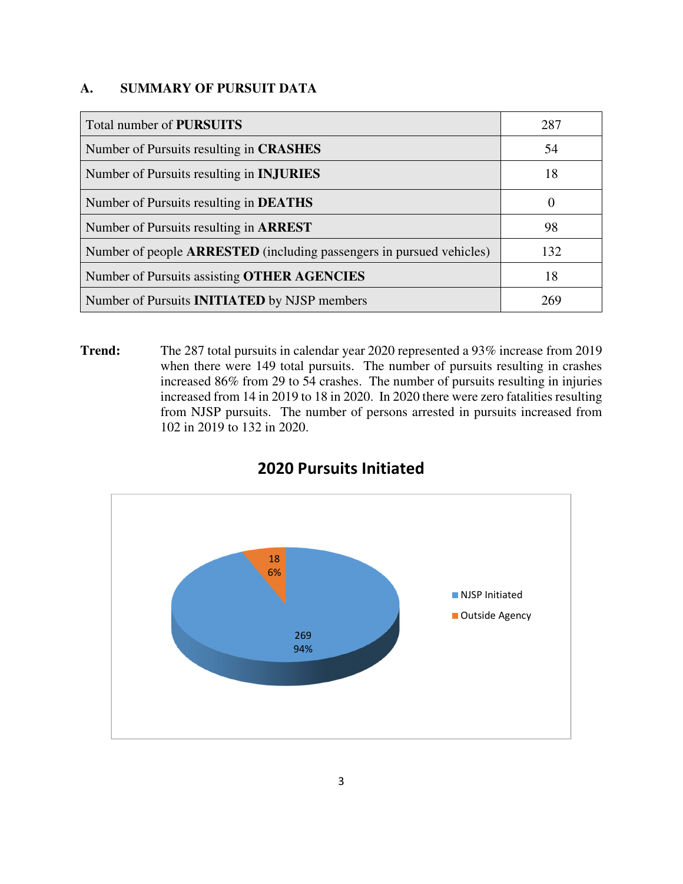## **A. SUMMARY OF PURSUIT DATA**

| Total number of <b>PURSUITS</b>                                             | 287      |
|-----------------------------------------------------------------------------|----------|
| Number of Pursuits resulting in <b>CRASHES</b>                              | 54       |
| Number of Pursuits resulting in <b>INJURIES</b>                             | 18       |
| Number of Pursuits resulting in <b>DEATHS</b>                               | $\theta$ |
| Number of Pursuits resulting in <b>ARREST</b>                               | 98       |
| Number of people <b>ARRESTED</b> (including passengers in pursued vehicles) | 132      |
| Number of Pursuits assisting OTHER AGENCIES                                 | 18       |
| Number of Pursuits <b>INITIATED</b> by NJSP members                         |          |

**Trend:** The 287 total pursuits in calendar year 2020 represented a 93% increase from 2019 when there were 149 total pursuits. The number of pursuits resulting in crashes increased 86% from 29 to 54 crashes. The number of pursuits resulting in injuries increased from 14 in 2019 to 18 in 2020. In 2020 there were zero fatalities resulting from NJSP pursuits. The number of persons arrested in pursuits increased from 102 in 2019 to 132 in 2020.



# 2020 Pursuits Initiated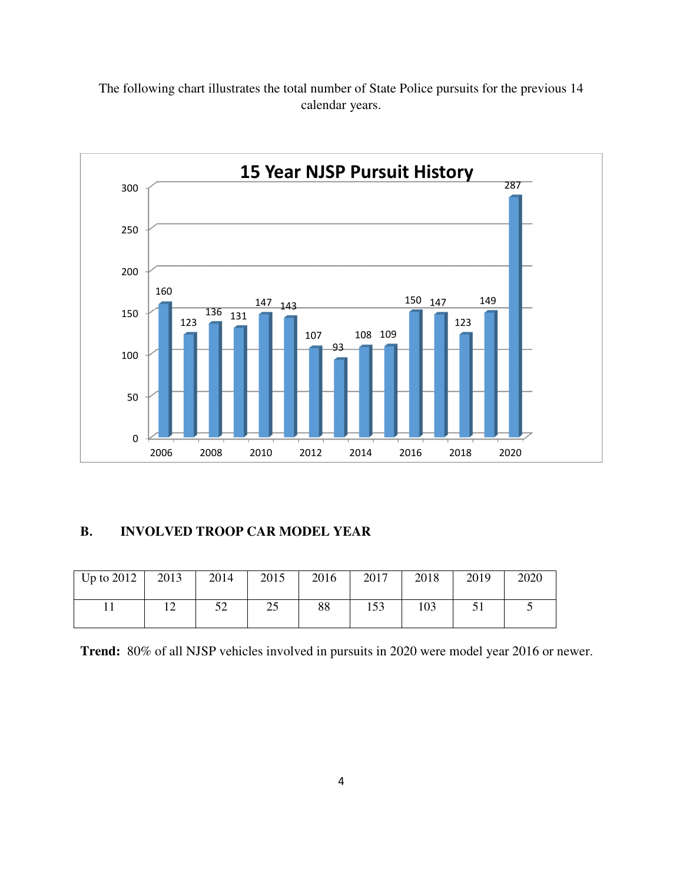The following chart illustrates the total number of State Police pursuits for the previous 14 calendar years.



## **B**. **INVOLVED TROOP CAR MODEL YEAR**

| Up to $2012$ | 2013 | 2014      | 2015 | 2016 | 2017 | 2018 | 2019 | 2020 |
|--------------|------|-----------|------|------|------|------|------|------|
|              | ⊥ ∠  | <ົ<br>ے ر | ر∠   | 88   | 153  | 103  |      |      |

**Trend:** 80% of all NJSP vehicles involved in pursuits in 2020 were model year 2016 or newer.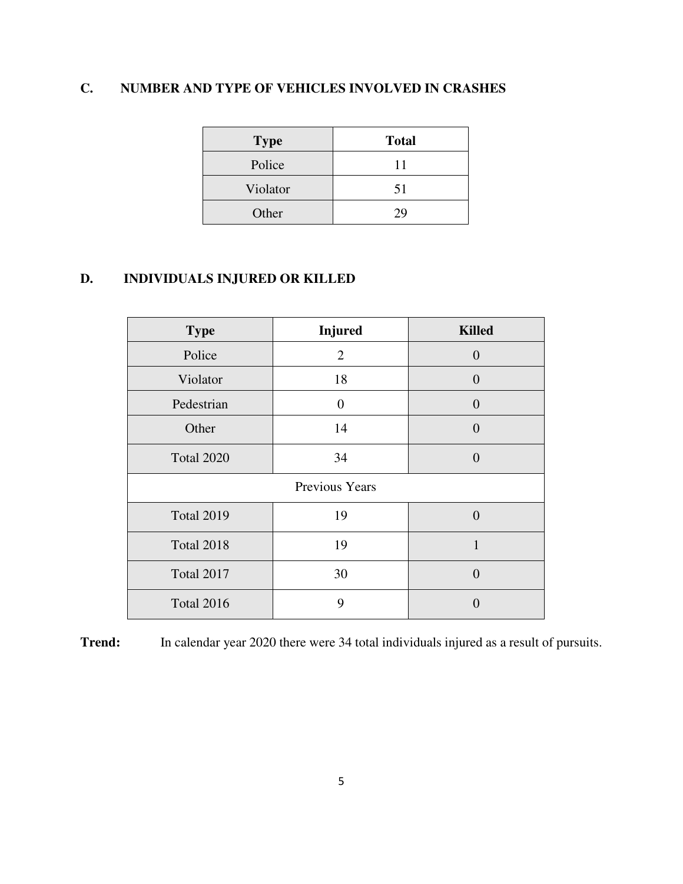# **C. NUMBER AND TYPE OF VEHICLES INVOLVED IN CRASHES**

| <b>Type</b> | <b>Total</b> |
|-------------|--------------|
| Police      | 11           |
| Violator    | 51           |
| Other       | 29           |

# **D. INDIVIDUALS INJURED OR KILLED**

| <b>Type</b>       | <b>Injured</b> | <b>Killed</b>  |  |  |  |
|-------------------|----------------|----------------|--|--|--|
| Police            | $\overline{2}$ | $\overline{0}$ |  |  |  |
| Violator          | 18             | $\overline{0}$ |  |  |  |
| Pedestrian        | $\overline{0}$ | $\overline{0}$ |  |  |  |
| Other             | 14             | $\Omega$       |  |  |  |
| <b>Total 2020</b> | 34<br>$\theta$ |                |  |  |  |
| Previous Years    |                |                |  |  |  |
| <b>Total 2019</b> | 19             | $\Omega$       |  |  |  |
| <b>Total 2018</b> | 19             | 1              |  |  |  |
| <b>Total 2017</b> | 30             | $\Omega$       |  |  |  |
| <b>Total 2016</b> | 9              |                |  |  |  |

**Trend:** In calendar year 2020 there were 34 total individuals injured as a result of pursuits.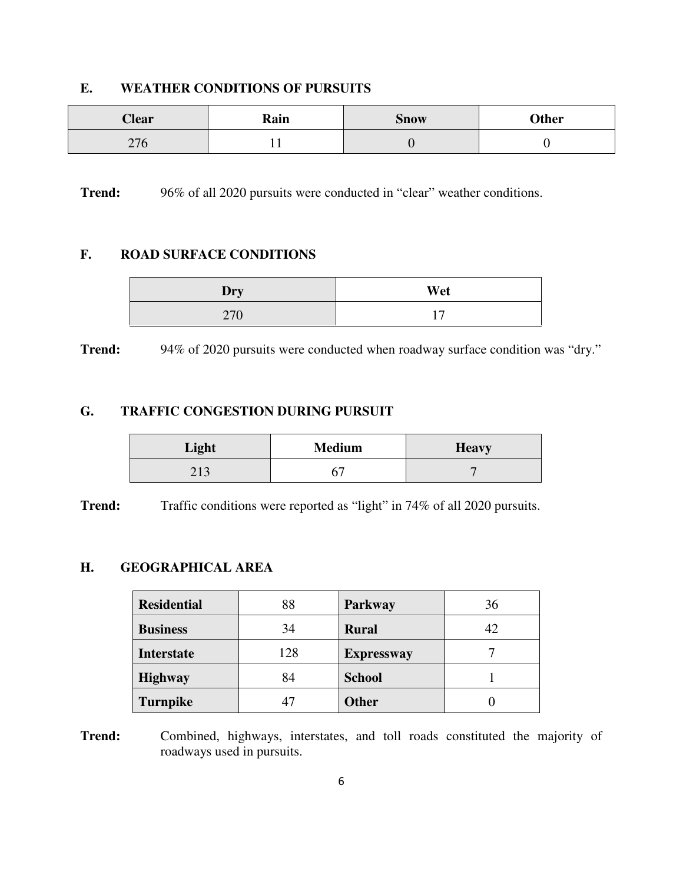## **E. WEATHER CONDITIONS OF PURSUITS**

| <b>Clear</b>                      | Rain | <b>Snow</b> | Other |
|-----------------------------------|------|-------------|-------|
| $\cap$<br>$\sim$ $\prime$ $\circ$ | . .  |             |       |

**Trend:** 96% of all 2020 pursuits were conducted in "clear" weather conditions.

## **F. ROAD SURFACE CONDITIONS**

| Dry | Wet |
|-----|-----|
| 270 |     |

**Trend:** 94% of 2020 pursuits were conducted when roadway surface condition was "dry."

#### **G. TRAFFIC CONGESTION DURING PURSUIT**

| Light | <b>Medium</b> | <b>Heavy</b> |
|-------|---------------|--------------|
| ر 1 ب |               |              |

**Trend:** Traffic conditions were reported as "light" in 74% of all 2020 pursuits.

#### **H. GEOGRAPHICAL AREA**

| <b>Residential</b> | 88  | Parkway           | 36 |
|--------------------|-----|-------------------|----|
| <b>Business</b>    | 34  | <b>Rural</b>      | 42 |
| <b>Interstate</b>  | 128 | <b>Expressway</b> |    |
| <b>Highway</b>     | 84  | <b>School</b>     |    |
| <b>Turnpike</b>    | 47  | <b>Other</b>      |    |

**Trend:** Combined, highways, interstates, and toll roads constituted the majority of roadways used in pursuits.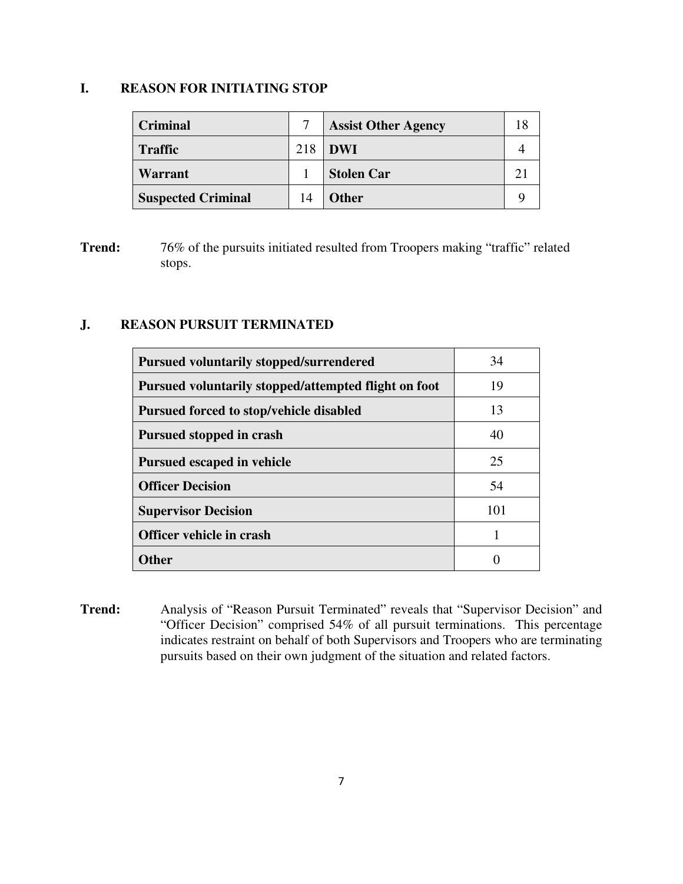## **I. REASON FOR INITIATING STOP**

| <b>Criminal</b>           |     | <b>Assist Other Agency</b> | 18 |
|---------------------------|-----|----------------------------|----|
| <b>Traffic</b>            | 218 | <b>DWI</b>                 |    |
| <b>Warrant</b>            |     | <b>Stolen Car</b>          |    |
| <b>Suspected Criminal</b> | 14  | <b>Other</b>               |    |

**Trend:** 76% of the pursuits initiated resulted from Troopers making "traffic" related stops.

#### **J. REASON PURSUIT TERMINATED**

| <b>Pursued voluntarily stopped/surrendered</b>       | 34  |
|------------------------------------------------------|-----|
| Pursued voluntarily stopped/attempted flight on foot | 19  |
| <b>Pursued forced to stop/vehicle disabled</b>       | 13  |
| Pursued stopped in crash                             | 40  |
| <b>Pursued escaped in vehicle</b>                    | 25  |
| <b>Officer Decision</b>                              | 54  |
| <b>Supervisor Decision</b>                           | 101 |
| Officer vehicle in crash                             | 1   |
| <b>Other</b>                                         |     |

**Trend:** Analysis of "Reason Pursuit Terminated" reveals that "Supervisor Decision" and "Officer Decision" comprised 54% of all pursuit terminations. This percentage indicates restraint on behalf of both Supervisors and Troopers who are terminating pursuits based on their own judgment of the situation and related factors.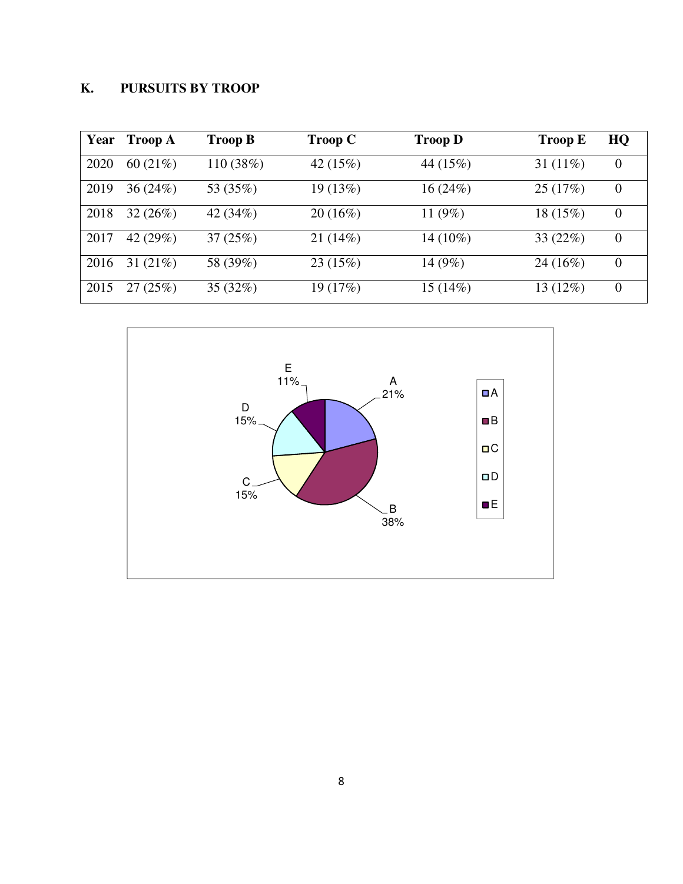# **K. PURSUITS BY TROOP**

| Year | <b>Troop A</b> | <b>Troop B</b> | <b>Troop C</b> | <b>Troop D</b> | <b>Troop E</b> | HQ       |
|------|----------------|----------------|----------------|----------------|----------------|----------|
| 2020 | 60 $(21\%)$    | 110(38%)       | 42 $(15%)$     | 44 (15%)       | 31 $(11\%)$    | $\theta$ |
| 2019 | 36(24%)        | 53 (35%)       | 19 (13%)       | 16(24%)        | 25(17%)        | $\theta$ |
| 2018 | 32(26%)        | 42 (34%)       | 20(16%)        | 11 $(9%)$      | 18 (15%)       | $\theta$ |
| 2017 | 42 (29%)       | 37(25%)        | 21(14%)        | 14 (10%)       | 33 $(22%)$     | $\theta$ |
| 2016 | 31 $(21\%)$    | 58 (39%)       | 23(15%)        | 14 $(9\%)$     | 24(16%)        | $\theta$ |
| 2015 | 27(25%)        | 35(32%)        | 19 (17%)       | 15(14%)        | 13 (12%)       | $\theta$ |

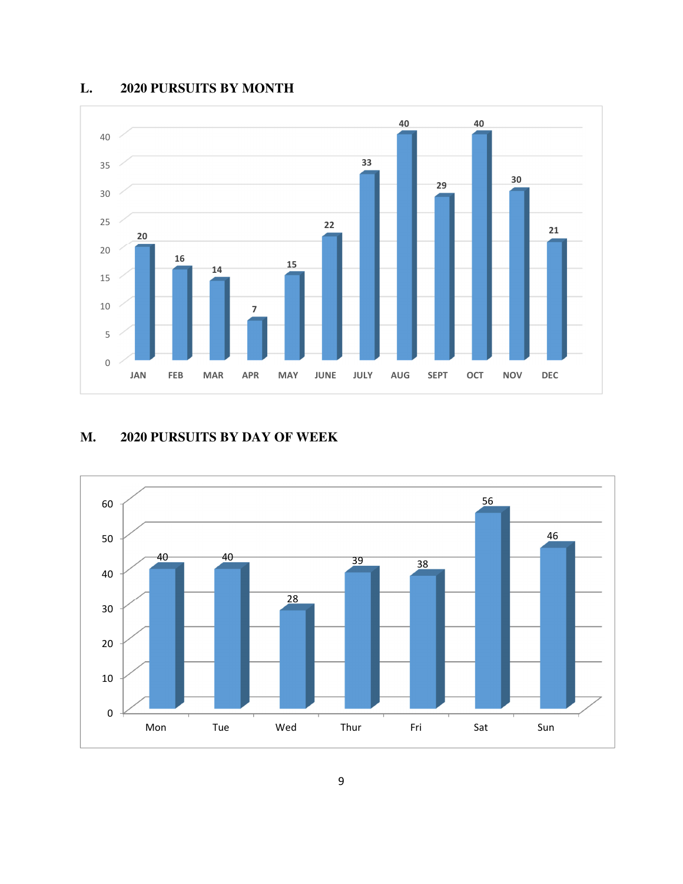## **L. 2020 PURSUITS BY MONTH**



# **M. 2020 PURSUITS BY DAY OF WEEK**

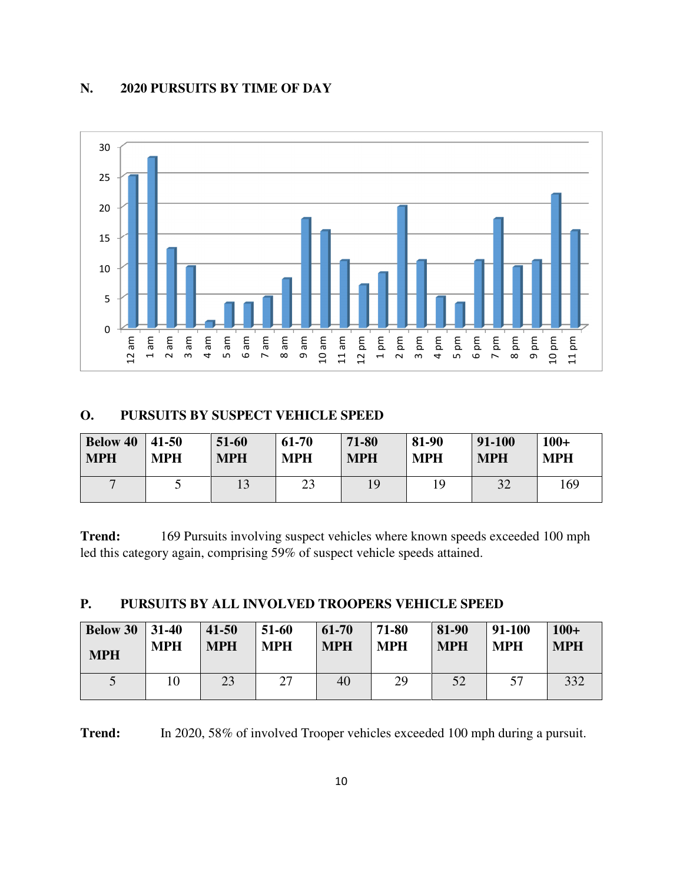## **N. 2020 PURSUITS BY TIME OF DAY**



#### **O. PURSUITS BY SUSPECT VEHICLE SPEED**

| <b>Below 40</b> | $ 41-50$   | 51-60      | 61-70      | 71-80      | 81-90      | 91-100     | $100+$     |
|-----------------|------------|------------|------------|------------|------------|------------|------------|
| <b>MPH</b>      | <b>MPH</b> | <b>MPH</b> | <b>MPH</b> | <b>MPH</b> | <b>MPH</b> | <b>MPH</b> | <b>MPH</b> |
| $\mathbf{r}$    |            |            | 23         | 19         | 19         | 32         | 169        |

**Trend:** 169 Pursuits involving suspect vehicles where known speeds exceeded 100 mph led this category again, comprising 59% of suspect vehicle speeds attained.

| PURSUITS BY ALL INVOLVED TROOPERS VEHICLE SPEED |  |  |  |
|-------------------------------------------------|--|--|--|
|                                                 |  |  |  |

| <b>Below 30</b> 31-40 | <b>MPH</b> | $41 - 50$  | 51-60      | 61-70      | 71-80      | 81-90      | 91-100     | $100+$     |
|-----------------------|------------|------------|------------|------------|------------|------------|------------|------------|
| <b>MPH</b>            |            | <b>MPH</b> | <b>MPH</b> | <b>MPH</b> | <b>MPH</b> | <b>MPH</b> | <b>MPH</b> | <b>MPH</b> |
|                       |            | 23         | 27         | 40         | 29         | 52         | 57         | 332        |

**Trend:** In 2020, 58% of involved Trooper vehicles exceeded 100 mph during a pursuit.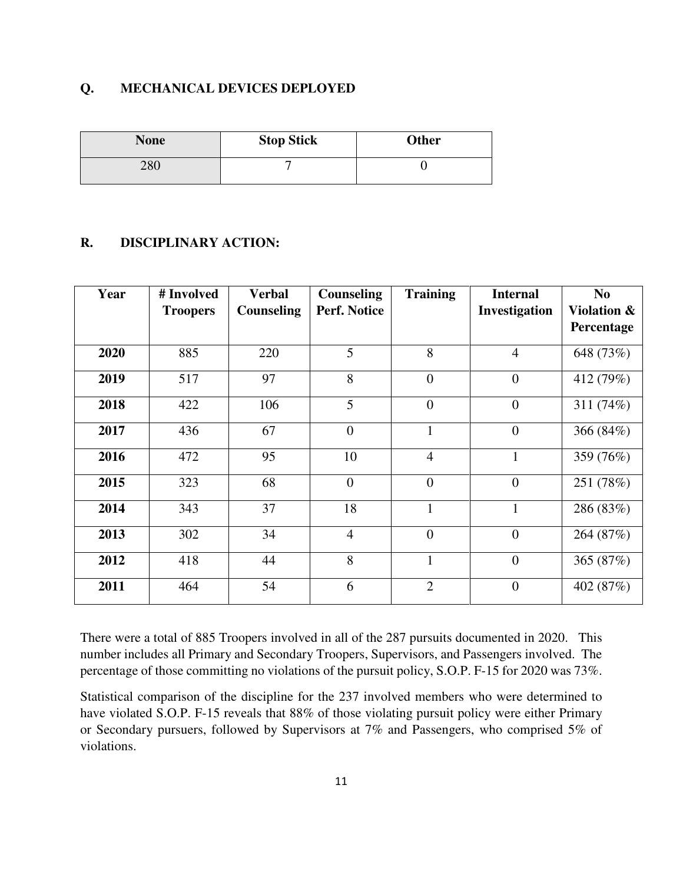#### **Q. MECHANICAL DEVICES DEPLOYED**

| <b>None</b> | <b>Stop Stick</b> | <b>Other</b> |  |  |
|-------------|-------------------|--------------|--|--|
| 280         |                   |              |  |  |

## **R. DISCIPLINARY ACTION:**

| Year | # Involved<br><b>Troopers</b> | <b>Verbal</b><br>Counseling | Counseling<br><b>Perf. Notice</b> | <b>Training</b> | <b>Internal</b><br>Investigation | N <sub>0</sub><br><b>Violation &amp;</b><br>Percentage |
|------|-------------------------------|-----------------------------|-----------------------------------|-----------------|----------------------------------|--------------------------------------------------------|
| 2020 | 885                           | 220                         | 5                                 | 8               | $\overline{4}$                   | 648 (73%)                                              |
| 2019 | 517                           | 97                          | 8                                 | $\overline{0}$  | $\overline{0}$                   | 412 (79%)                                              |
| 2018 | 422                           | 106                         | 5                                 | $\overline{0}$  | $\overline{0}$                   | 311 $(74%)$                                            |
| 2017 | 436                           | 67                          | $\overline{0}$                    | $\mathbf{1}$    | $\overline{0}$                   | 366 (84%)                                              |
| 2016 | 472                           | 95                          | 10                                | $\overline{4}$  | $\mathbf{1}$                     | 359 (76%)                                              |
| 2015 | 323                           | 68                          | $\overline{0}$                    | $\overline{0}$  | $\overline{0}$                   | 251 (78%)                                              |
| 2014 | 343                           | 37                          | 18                                | $\mathbf{1}$    | $\mathbf{1}$                     | 286 (83%)                                              |
| 2013 | 302                           | 34                          | $\overline{4}$                    | $\overline{0}$  | $\overline{0}$                   | 264 (87%)                                              |
| 2012 | 418                           | 44                          | 8                                 | $\mathbf{1}$    | $\overline{0}$                   | 365 $(87%)$                                            |
| 2011 | 464                           | 54                          | 6                                 | $\overline{2}$  | $\overline{0}$                   | 402 (87%)                                              |

There were a total of 885 Troopers involved in all of the 287 pursuits documented in 2020. This number includes all Primary and Secondary Troopers, Supervisors, and Passengers involved. The percentage of those committing no violations of the pursuit policy, S.O.P. F-15 for 2020 was 73%.

Statistical comparison of the discipline for the 237 involved members who were determined to have violated S.O.P. F-15 reveals that 88% of those violating pursuit policy were either Primary or Secondary pursuers, followed by Supervisors at 7% and Passengers, who comprised 5% of violations.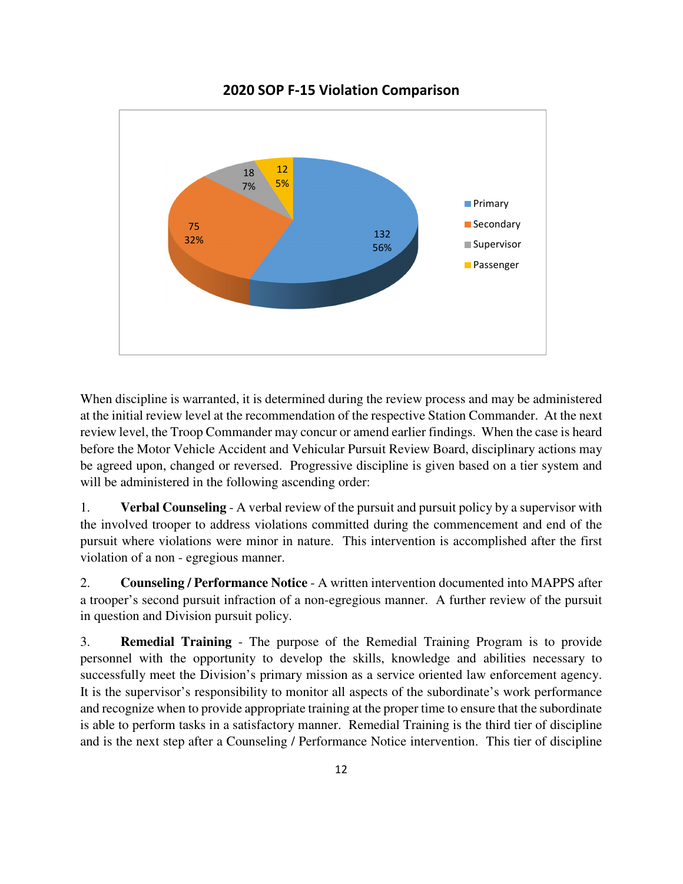

2020 SOP F-15 Violation Comparison

When discipline is warranted, it is determined during the review process and may be administered at the initial review level at the recommendation of the respective Station Commander. At the next review level, the Troop Commander may concur or amend earlier findings. When the case is heard before the Motor Vehicle Accident and Vehicular Pursuit Review Board, disciplinary actions may be agreed upon, changed or reversed. Progressive discipline is given based on a tier system and will be administered in the following ascending order:

1. **Verbal Counseling** - A verbal review of the pursuit and pursuit policy by a supervisor with the involved trooper to address violations committed during the commencement and end of the pursuit where violations were minor in nature. This intervention is accomplished after the first violation of a non - egregious manner.

2. **Counseling / Performance Notice** - A written intervention documented into MAPPS after a trooper's second pursuit infraction of a non-egregious manner. A further review of the pursuit in question and Division pursuit policy.

3. **Remedial Training** - The purpose of the Remedial Training Program is to provide personnel with the opportunity to develop the skills, knowledge and abilities necessary to successfully meet the Division's primary mission as a service oriented law enforcement agency. It is the supervisor's responsibility to monitor all aspects of the subordinate's work performance and recognize when to provide appropriate training at the proper time to ensure that the subordinate is able to perform tasks in a satisfactory manner. Remedial Training is the third tier of discipline and is the next step after a Counseling / Performance Notice intervention. This tier of discipline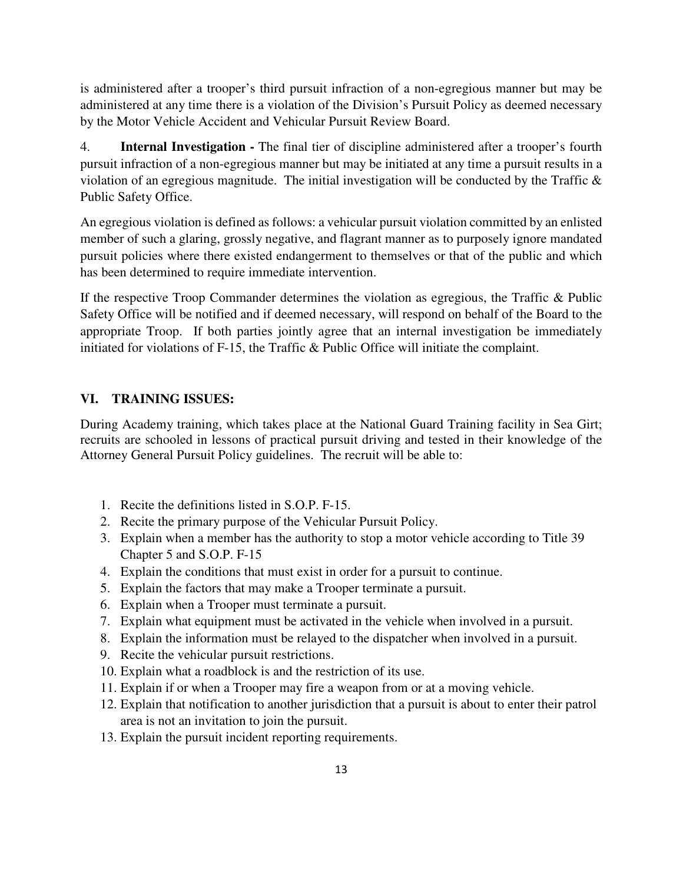is administered after a trooper's third pursuit infraction of a non-egregious manner but may be administered at any time there is a violation of the Division's Pursuit Policy as deemed necessary by the Motor Vehicle Accident and Vehicular Pursuit Review Board.

4. **Internal Investigation -** The final tier of discipline administered after a trooper's fourth pursuit infraction of a non-egregious manner but may be initiated at any time a pursuit results in a violation of an egregious magnitude. The initial investigation will be conducted by the Traffic & Public Safety Office.

An egregious violation is defined as follows: a vehicular pursuit violation committed by an enlisted member of such a glaring, grossly negative, and flagrant manner as to purposely ignore mandated pursuit policies where there existed endangerment to themselves or that of the public and which has been determined to require immediate intervention.

If the respective Troop Commander determines the violation as egregious, the Traffic & Public Safety Office will be notified and if deemed necessary, will respond on behalf of the Board to the appropriate Troop. If both parties jointly agree that an internal investigation be immediately initiated for violations of F-15, the Traffic & Public Office will initiate the complaint.

## **VI. TRAINING ISSUES:**

During Academy training, which takes place at the National Guard Training facility in Sea Girt; recruits are schooled in lessons of practical pursuit driving and tested in their knowledge of the Attorney General Pursuit Policy guidelines. The recruit will be able to:

- 1. Recite the definitions listed in S.O.P. F-15.
- 2. Recite the primary purpose of the Vehicular Pursuit Policy.
- 3. Explain when a member has the authority to stop a motor vehicle according to Title 39 Chapter 5 and S.O.P. F-15
- 4. Explain the conditions that must exist in order for a pursuit to continue.
- 5. Explain the factors that may make a Trooper terminate a pursuit.
- 6. Explain when a Trooper must terminate a pursuit.
- 7. Explain what equipment must be activated in the vehicle when involved in a pursuit.
- 8. Explain the information must be relayed to the dispatcher when involved in a pursuit.
- 9. Recite the vehicular pursuit restrictions.
- 10. Explain what a roadblock is and the restriction of its use.
- 11. Explain if or when a Trooper may fire a weapon from or at a moving vehicle.
- 12. Explain that notification to another jurisdiction that a pursuit is about to enter their patrol area is not an invitation to join the pursuit.
- 13. Explain the pursuit incident reporting requirements.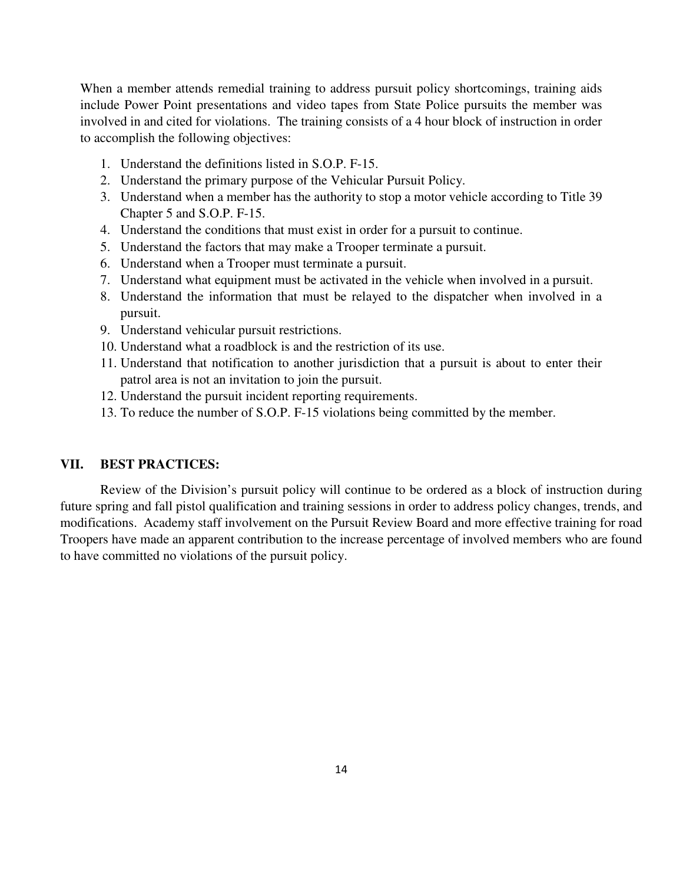When a member attends remedial training to address pursuit policy shortcomings, training aids include Power Point presentations and video tapes from State Police pursuits the member was involved in and cited for violations. The training consists of a 4 hour block of instruction in order to accomplish the following objectives:

- 1. Understand the definitions listed in S.O.P. F-15.
- 2. Understand the primary purpose of the Vehicular Pursuit Policy.
- 3. Understand when a member has the authority to stop a motor vehicle according to Title 39 Chapter 5 and S.O.P. F-15.
- 4. Understand the conditions that must exist in order for a pursuit to continue.
- 5. Understand the factors that may make a Trooper terminate a pursuit.
- 6. Understand when a Trooper must terminate a pursuit.
- 7. Understand what equipment must be activated in the vehicle when involved in a pursuit.
- 8. Understand the information that must be relayed to the dispatcher when involved in a pursuit.
- 9. Understand vehicular pursuit restrictions.
- 10. Understand what a roadblock is and the restriction of its use.
- 11. Understand that notification to another jurisdiction that a pursuit is about to enter their patrol area is not an invitation to join the pursuit.
- 12. Understand the pursuit incident reporting requirements.
- 13. To reduce the number of S.O.P. F-15 violations being committed by the member.

#### **VII. BEST PRACTICES:**

Review of the Division's pursuit policy will continue to be ordered as a block of instruction during future spring and fall pistol qualification and training sessions in order to address policy changes, trends, and modifications. Academy staff involvement on the Pursuit Review Board and more effective training for road Troopers have made an apparent contribution to the increase percentage of involved members who are found to have committed no violations of the pursuit policy.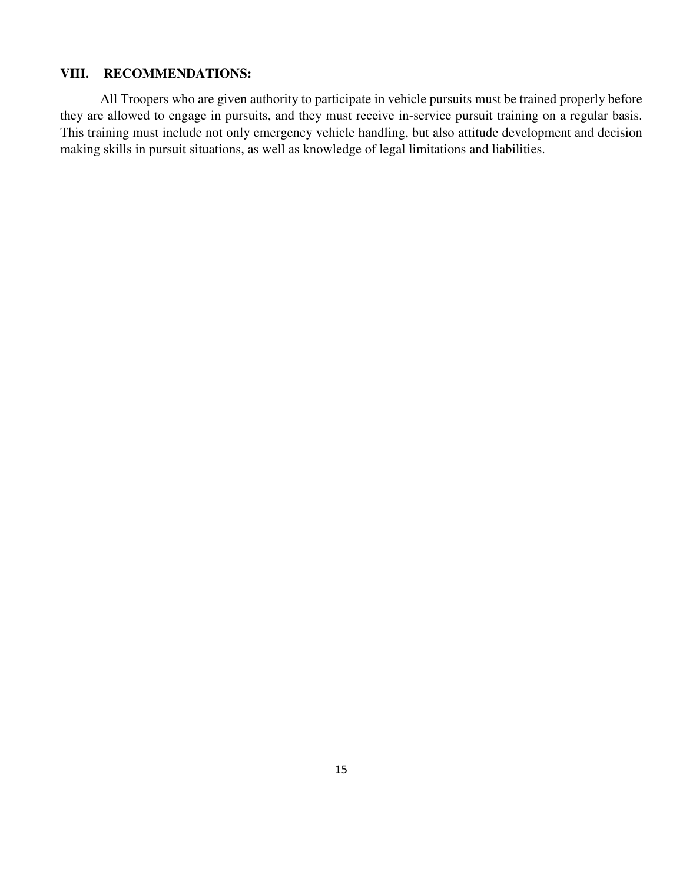## **VIII. RECOMMENDATIONS:**

All Troopers who are given authority to participate in vehicle pursuits must be trained properly before they are allowed to engage in pursuits, and they must receive in-service pursuit training on a regular basis. This training must include not only emergency vehicle handling, but also attitude development and decision making skills in pursuit situations, as well as knowledge of legal limitations and liabilities.